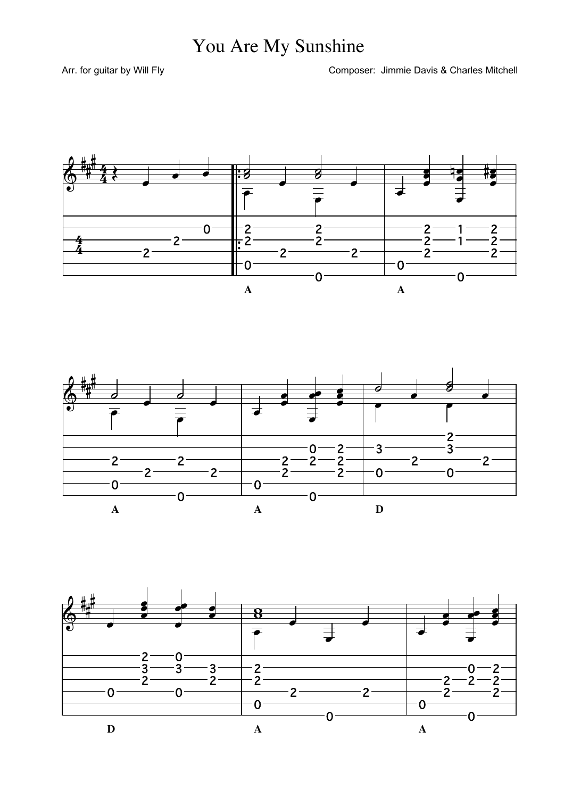## You Are My Sunshine

Arr. for guitar by Will Fly

Composer: Jimmie Davis & Charles Mitchell